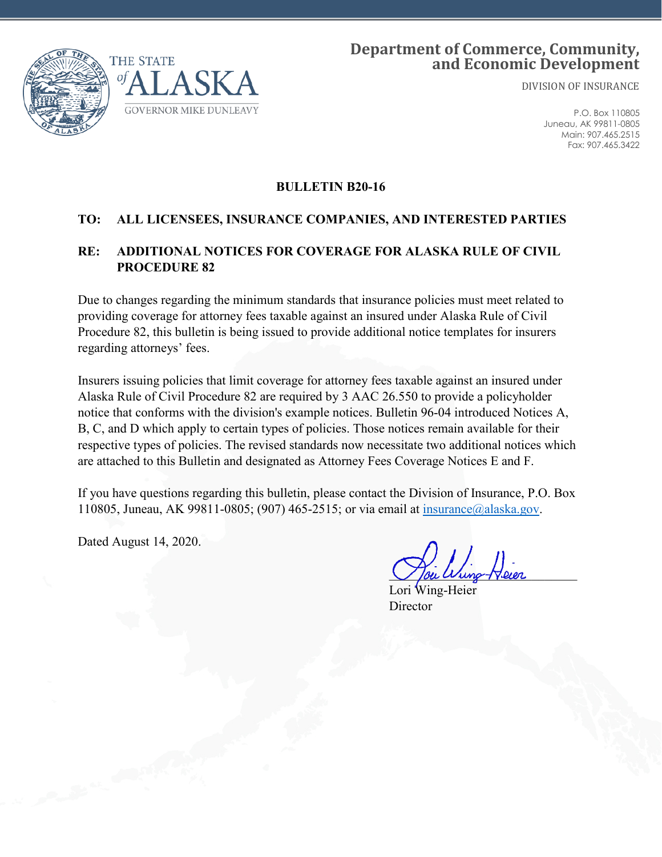

# **Department of Commerce, Community, and Economic Development**

DIVISION OF INSURANCE

P.O. Box 110805 Juneau, AK 99811-0805 Main: 907.465.2515 Fax: 907.465.3422

#### **BULLETIN B20-16**

#### **TO: ALL LICENSEES, INSURANCE COMPANIES, AND INTERESTED PARTIES**

### **RE: ADDITIONAL NOTICES FOR COVERAGE FOR ALASKA RULE OF CIVIL PROCEDURE 82**

Due to changes regarding the minimum standards that insurance policies must meet related to providing coverage for attorney fees taxable against an insured under Alaska Rule of Civil Procedure 82, this bulletin is being issued to provide additional notice templates for insurers regarding attorneys' fees.

Insurers issuing policies that limit coverage for attorney fees taxable against an insured under Alaska Rule of Civil Procedure 82 are required by 3 AAC 26.550 to provide a policyholder notice that conforms with the division's example notices. Bulletin 96-04 introduced Notices A, B, C, and D which apply to certain types of policies. Those notices remain available for their respective types of policies. The revised standards now necessitate two additional notices which are attached to this Bulletin and designated as Attorney Fees Coverage Notices E and F.

If you have questions regarding this bulletin, please contact the Division of Insurance, P.O. Box 110805, Juneau, AK 99811-0805; (907) 465-2515; or via email at [insurance@alaska.gov.](mailto:insurance@alaska.gov)

Dated August 14, 2020.

Jou Wung-Heier

Lori Wing-Heier Director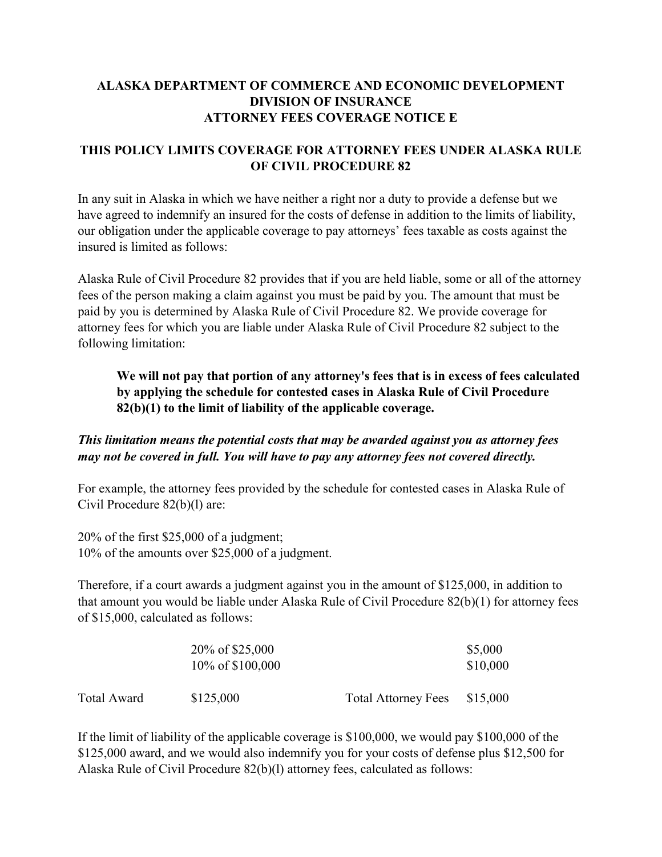# **ALASKA DEPARTMENT OF COMMERCE AND ECONOMIC DEVELOPMENT DIVISION OF INSURANCE ATTORNEY FEES COVERAGE NOTICE E**

#### **THIS POLICY LIMITS COVERAGE FOR ATTORNEY FEES UNDER ALASKA RULE OF CIVIL PROCEDURE 82**

In any suit in Alaska in which we have neither a right nor a duty to provide a defense but we have agreed to indemnify an insured for the costs of defense in addition to the limits of liability, our obligation under the applicable coverage to pay attorneys' fees taxable as costs against the insured is limited as follows:

Alaska Rule of Civil Procedure 82 provides that if you are held liable, some or all of the attorney fees of the person making a claim against you must be paid by you. The amount that must be paid by you is determined by Alaska Rule of Civil Procedure 82. We provide coverage for attorney fees for which you are liable under Alaska Rule of Civil Procedure 82 subject to the following limitation:

# **We will not pay that portion of any attorney's fees that is in excess of fees calculated by applying the schedule for contested cases in Alaska Rule of Civil Procedure 82(b)(1) to the limit of liability of the applicable coverage.**

*This limitation means the potential costs that may be awarded against you as attorney fees may not be covered in full. You will have to pay any attorney fees not covered directly.*

For example, the attorney fees provided by the schedule for contested cases in Alaska Rule of Civil Procedure 82(b)(l) are:

20% of the first \$25,000 of a judgment; 10% of the amounts over \$25,000 of a judgment.

Therefore, if a court awards a judgment against you in the amount of \$125,000, in addition to that amount you would be liable under Alaska Rule of Civil Procedure 82(b)(1) for attorney fees of \$15,000, calculated as follows:

|                    | 20% of \$25,000<br>10\% of \$100,000 |                            | \$5,000<br>\$10,000 |
|--------------------|--------------------------------------|----------------------------|---------------------|
| <b>Total Award</b> | \$125,000                            | <b>Total Attorney Fees</b> | \$15,000            |

If the limit of liability of the applicable coverage is \$100,000, we would pay \$100,000 of the \$125,000 award, and we would also indemnify you for your costs of defense plus \$12,500 for Alaska Rule of Civil Procedure 82(b)(l) attorney fees, calculated as follows: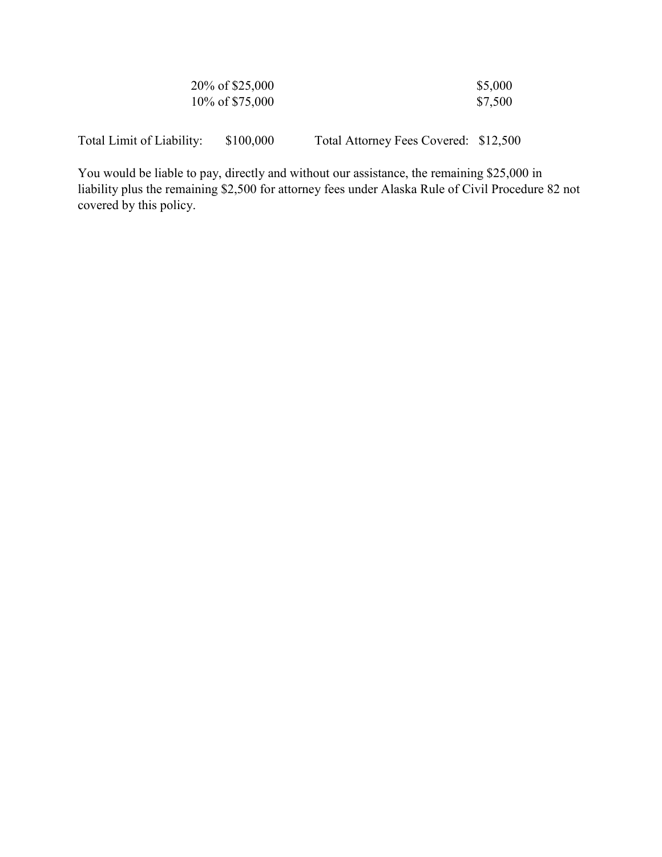| 20% of \$25,000  | \$5,000 |
|------------------|---------|
| 10\% of \$75,000 | \$7,500 |

Total Limit of Liability: \$100,000 Total Attorney Fees Covered: \$12,500

You would be liable to pay, directly and without our assistance, the remaining \$25,000 in liability plus the remaining \$2,500 for attorney fees under Alaska Rule of Civil Procedure 82 not covered by this policy.